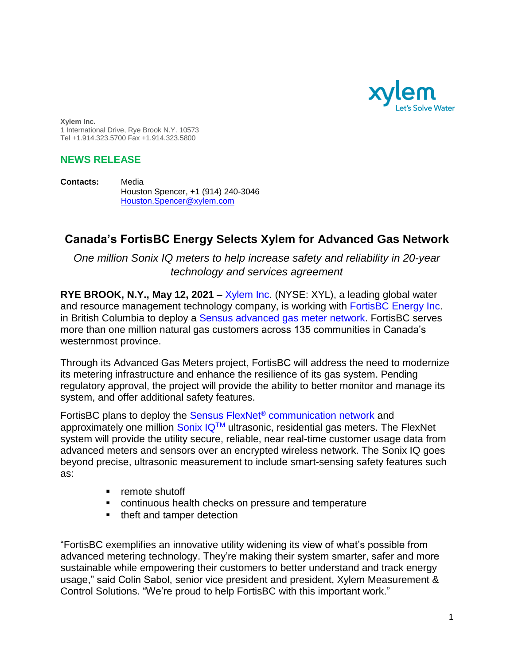

**Xylem Inc.** 1 International Drive, Rye Brook N.Y. 10573 Tel +1.914.323.5700 Fax +1.914.323.5800

## **NEWS RELEASE**

**Contacts:** Media Houston Spencer, +1 (914) 240-3046 Houston.Spencer@xylem.com

## **Canada's FortisBC Energy Selects Xylem for Advanced Gas Network**

*One million Sonix IQ meters to help increase safety and reliability in 20-year technology and services agreement*

**RYE BROOK, N.Y., May 12, 2021 –** [Xylem Inc.](https://www.xylem.com/) (NYSE: XYL), a leading global water and resource management technology company, is working with [FortisBC Energy Inc.](https://www.fortisbc.com/) in British Columbia to deploy a Sensus advanced [gas meter network.](https://sensus.com/smart-utility-network/smart-gas/) FortisBC serves more than one million natural gas customers across 135 communities in Canada's westernmost province.

Through its Advanced Gas Meters project, FortisBC will address the need to modernize its metering infrastructure and enhance the resilience of its gas system. Pending regulatory approval, the project will provide the ability to better monitor and manage its system, and offer additional safety features.

FortisBC plans to deploy the Sensus FlexNet® [communication network](https://sensus.com/communication-networks/sensus-technologies/flexnet-north-america/) and approximately one million Sonix  $IQ^{TM}$  ultrasonic, residential gas meters. The FlexNet system will provide the utility secure, reliable, near real-time customer usage data from advanced meters and sensors over an encrypted wireless network. The Sonix IQ goes beyond precise, ultrasonic measurement to include smart-sensing safety features such as:

- remote shutoff
- continuous health checks on pressure and temperature
- theft and tamper detection

"FortisBC exemplifies an innovative utility widening its view of what's possible from advanced metering technology. They're making their system smarter, safer and more sustainable while empowering their customers to better understand and track energy usage," said Colin Sabol, senior vice president and president, Xylem Measurement & Control Solutions. "We're proud to help FortisBC with this important work."